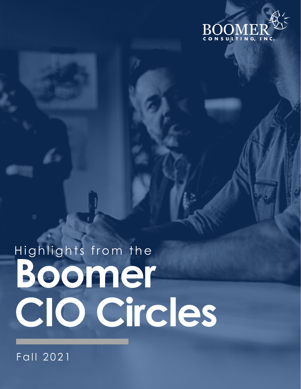

# Highlights from the Boomer CIO Circles

Fall 2021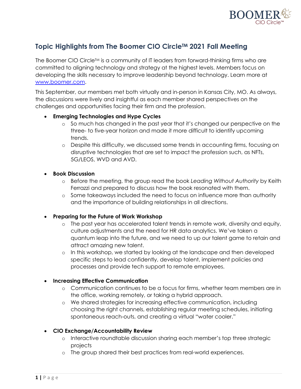

# **Topic Highlights from The Boomer CIO CircleTM 2021 Fall Meeting**

The Boomer CIO Circle<sup>TM</sup> is a community of IT leaders from forward-thinking firms who are committed to aligning technology and strategy at the highest levels. Members focus on developing the skills necessary to improve leadership beyond technology. Learn more at www.boomer.com.

This September, our members met both virtually and in-person in Kansas City, MO. As always, the discussions were lively and insightful as each member shared perspectives on the challenges and opportunities facing their firm and the profession.

## • **Emerging Technologies and Hype Cycles**

- o So much has changed in the past year that it's changed our perspective on the three- to five-year horizon and made it more difficult to identify upcoming trends.
- o Despite this difficulty, we discussed some trends in accounting firms, focusing on disruptive technologies that are set to impact the profession such, as NFTs, 5G/LEOS, WVD and AVD.

#### • **Book Discussion**

- o Before the meeting, the group read the book *Leading Without Authority* by Keith Ferrazzi and prepared to discuss how the book resonated with them.
- o Some takeaways included the need to focus on influence more than authority and the importance of building relationships in all directions.

## • **Preparing for the Future of Work Workshop**

- o The past year has accelerated talent trends in remote work, diversity and equity, culture adjustments and the need for HR data analytics. We've taken a quantum leap into the future, and we need to up our talent game to retain and attract amazing new talent.
- o In this workshop, we started by looking at the landscape and then developed specific steps to lead confidently, develop talent, implement policies and processes and provide tech support to remote employees.

## • **Increasing Effective Communication**

- o Communication continues to be a focus for firms, whether team members are in the office, working remotely, or taking a hybrid approach.
- o We shared strategies for increasing effective communication, including choosing the right channels, establishing regular meeting schedules, initiating spontaneous reach-outs, and creating a virtual "water cooler."

## • **CIO Exchange/Accountability Review**

- o Interactive roundtable discussion sharing each member's top three strategic projects
- o The group shared their best practices from real-world experiences.